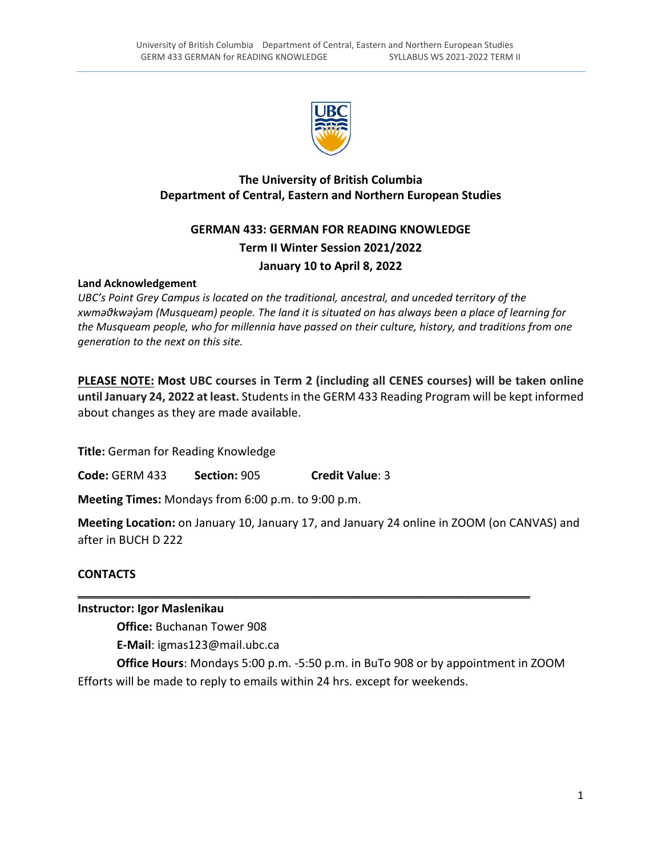

# **The University of British Columbia Department of Central, Eastern and Northern European Studies**

# **GERMAN 433: GERMAN FOR READING KNOWLEDGE Term II Winter Session 2021/2022 January 10 to April 8, 2022**

### **Land Acknowledgement**

*UBC's Point Grey Campus is located on the traditional, ancestral, and unceded territory of the* xwmadkwayam (Musqueam) people. The land it is situated on has always been a place of learning for *the Musqueam people, who for millennia have passed on their culture, history, and traditions from one generation to the next on this site.*

**PLEASE NOTE: Most UBC courses in Term 2 (including all CENES courses) will be taken online until January 24, 2022 at least.** Studentsin the GERM 433 Reading Program will be kept informed about changes as they are made available.

**Title:** German for Reading Knowledge

**Code:** GERM 433 **Section:** 905 **Credit Value**: 3

**Meeting Times:** Mondays from 6:00 p.m. to 9:00 p.m.

**Meeting Location:** on January 10, January 17, and January 24 online in ZOOM (on CANVAS) and after in BUCH D 222

### **CONTACTS**

### **Instructor: Igor Maslenikau**

**Office:** Buchanan Tower 908

**E‐Mail**: igmas123@mail.ubc.ca

**Office Hours**: Mondays 5:00 p.m. ‐5:50 p.m. in BuTo 908 or by appointment in ZOOM Efforts will be made to reply to emails within 24 hrs. except for weekends.

\_\_\_\_\_\_\_\_\_\_\_\_\_\_\_\_\_\_\_\_\_\_\_\_\_\_\_\_\_\_\_\_\_\_\_\_\_\_\_\_\_\_\_\_\_\_\_\_\_\_\_\_\_\_\_\_\_\_\_\_\_\_\_\_\_\_\_\_\_\_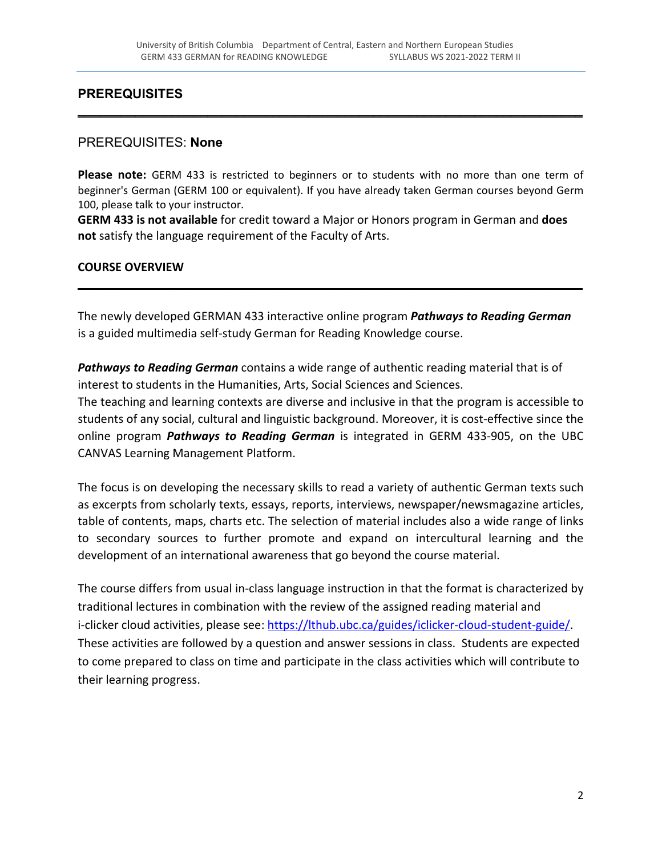\_\_\_\_\_\_\_\_\_\_\_\_\_\_\_\_\_\_\_\_\_\_\_\_\_\_\_\_\_\_\_\_\_\_\_\_\_\_\_\_\_\_\_\_\_\_\_\_\_\_\_\_\_\_\_\_\_\_\_\_\_\_\_\_\_\_\_\_\_\_

# **PREREQUISITES**

#### PREREQUISITES: **None**

**Please note:** GERM 433 is restricted to beginners or to students with no more than one term of beginner's German (GERM 100 or equivalent). If you have already taken German courses beyond Germ 100, please talk to your instructor.

**GERM 433 is not available** for credit toward a Major or Honors program in German and **does not** satisfy the language requirement of the Faculty of Arts.

#### **COURSE OVERVIEW**

The newly developed GERMAN 433 interactive online program *Pathways to Reading German* is a guided multimedia self‐study German for Reading Knowledge course.

\_\_\_\_\_\_\_\_\_\_\_\_\_\_\_\_\_\_\_\_\_\_\_\_\_\_\_\_\_\_\_\_\_\_\_\_\_\_\_\_\_\_\_\_\_\_\_\_\_\_\_\_\_\_\_\_\_\_\_\_\_\_\_\_\_\_\_\_\_\_

*Pathways to Reading German* contains a wide range of authentic reading material that is of interest to students in the Humanities, Arts, Social Sciences and Sciences.

The teaching and learning contexts are diverse and inclusive in that the program is accessible to students of any social, cultural and linguistic background. Moreover, it is cost-effective since the online program *Pathways to Reading German* is integrated in GERM 433‐905, on the UBC CANVAS Learning Management Platform.

The focus is on developing the necessary skills to read a variety of authentic German texts such as excerpts from scholarly texts, essays, reports, interviews, newspaper/newsmagazine articles, table of contents, maps, charts etc. The selection of material includes also a wide range of links to secondary sources to further promote and expand on intercultural learning and the development of an international awareness that go beyond the course material.

The course differs from usual in-class language instruction in that the format is characterized by traditional lectures in combination with the review of the assigned reading material and i‐clicker cloud activities, please see: https://lthub.ubc.ca/guides/iclicker‐cloud‐student‐guide/. These activities are followed by a question and answer sessions in class. Students are expected to come prepared to class on time and participate in the class activities which will contribute to their learning progress.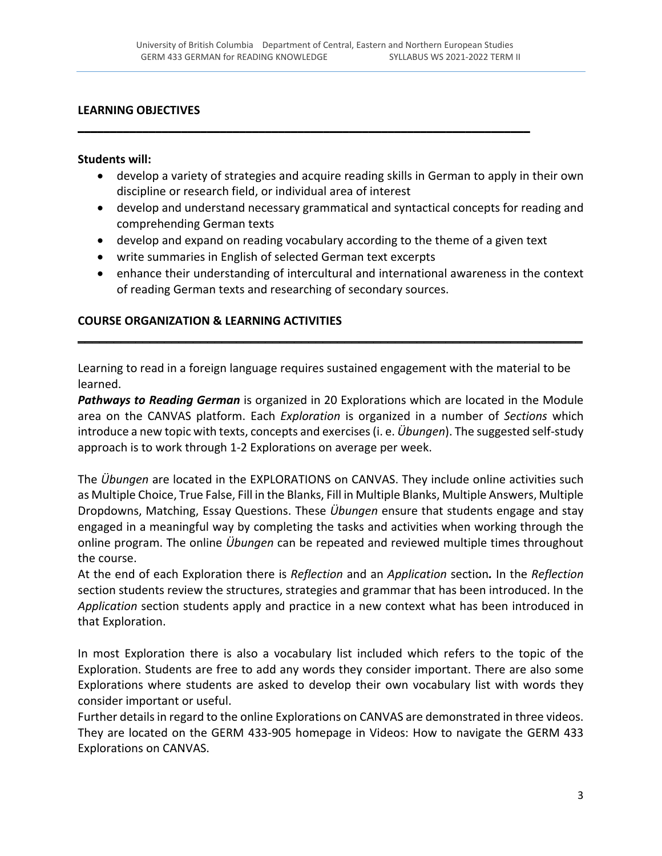\_\_\_\_\_\_\_\_\_\_\_\_\_\_\_\_\_\_\_\_\_\_\_\_\_\_\_\_\_\_\_\_\_\_\_\_\_\_\_\_\_\_\_\_\_\_\_\_\_\_\_\_\_\_\_\_\_\_\_\_\_\_\_\_\_\_\_\_\_\_

### **LEARNING OBJECTIVES**

#### **Students will:**

- develop a variety of strategies and acquire reading skills in German to apply in their own discipline or research field, or individual area of interest
- develop and understand necessary grammatical and syntactical concepts for reading and comprehending German texts
- develop and expand on reading vocabulary according to the theme of a given text
- write summaries in English of selected German text excerpts
- enhance their understanding of intercultural and international awareness in the context of reading German texts and researching of secondary sources.

# **COURSE ORGANIZATION & LEARNING ACTIVITIES**

Learning to read in a foreign language requires sustained engagement with the material to be learned.

\_\_\_\_\_\_\_\_\_\_\_\_\_\_\_\_\_\_\_\_\_\_\_\_\_\_\_\_\_\_\_\_\_\_\_\_\_\_\_\_\_\_\_\_\_\_\_\_\_\_\_\_\_\_\_\_\_\_\_\_\_\_\_\_\_\_\_\_\_\_

*Pathways to Reading German* is organized in 20 Explorations which are located in the Module area on the CANVAS platform. Each *Exploration* is organized in a number of *Sections* which introduce a new topic with texts, concepts and exercises(i. e. *Übungen*). The suggested self‐study approach is to work through 1‐2 Explorations on average per week.

The *Übungen* are located in the EXPLORATIONS on CANVAS. They include online activities such as Multiple Choice, True False, Fill in the Blanks, Fill in Multiple Blanks, Multiple Answers, Multiple Dropdowns, Matching, Essay Questions. These *Übungen* ensure that students engage and stay engaged in a meaningful way by completing the tasks and activities when working through the online program. The online *Übungen* can be repeated and reviewed multiple times throughout the course.

At the end of each Exploration there is *Reflection* and an *Application* section*.* In the *Reflection* section students review the structures, strategies and grammar that has been introduced. In the *Application* section students apply and practice in a new context what has been introduced in that Exploration.

In most Exploration there is also a vocabulary list included which refers to the topic of the Exploration. Students are free to add any words they consider important. There are also some Explorations where students are asked to develop their own vocabulary list with words they consider important or useful.

Further detailsin regard to the online Explorations on CANVAS are demonstrated in three videos. They are located on the GERM 433‐905 homepage in Videos: How to navigate the GERM 433 Explorations on CANVAS.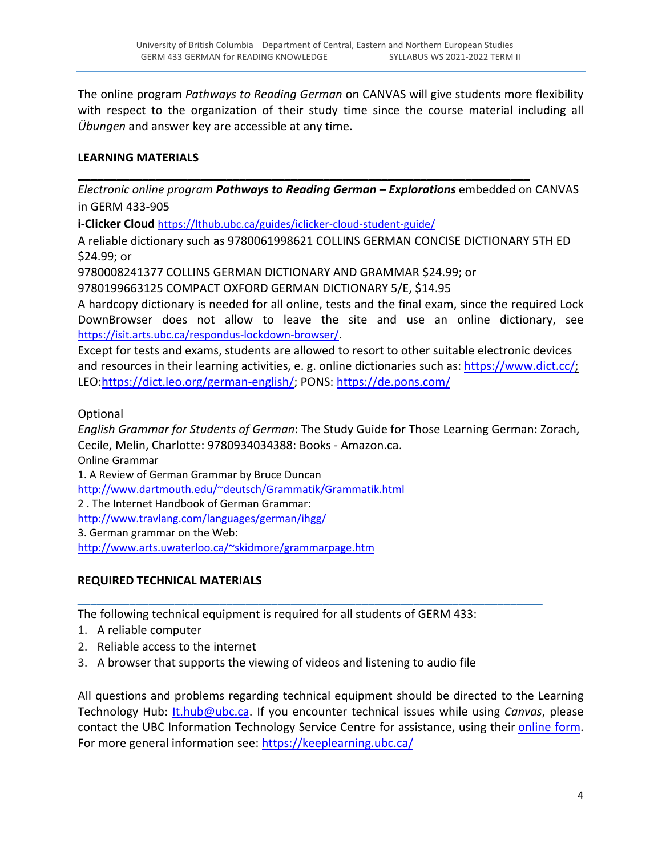The online program *Pathways to Reading German* on CANVAS will give students more flexibility with respect to the organization of their study time since the course material including all *Übungen* and answer key are accessible at any time.

# **LEARNING MATERIALS**

*Electronic online program Pathways to Reading German – Explorations* embedded on CANVAS in GERM 433‐905

\_\_\_\_\_\_\_\_\_\_\_\_\_\_\_\_\_\_\_\_\_\_\_\_\_\_\_\_\_\_\_\_\_\_\_\_\_\_\_\_\_\_\_\_\_\_\_\_\_\_\_\_\_\_\_\_\_\_\_\_\_\_\_\_\_\_\_\_\_\_

**i‐Clicker Cloud** https://lthub.ubc.ca/guides/iclicker‐cloud‐student‐guide/

A reliable dictionary such as 9780061998621 COLLINS GERMAN CONCISE DICTIONARY 5TH ED \$24.99; or

9780008241377 COLLINS GERMAN DICTIONARY AND GRAMMAR \$24.99; or

9780199663125 COMPACT OXFORD GERMAN DICTIONARY 5/E, \$14.95

A hardcopy dictionary is needed for all online, tests and the final exam, since the required Lock DownBrowser does not allow to leave the site and use an online dictionary, see https://isit.arts.ubc.ca/respondus‐lockdown‐browser/.

Except for tests and exams, students are allowed to resort to other suitable electronic devices and resources in their learning activities, e. g. online dictionaries such as: https://www.dict.cc/; LEO:https://dict.leo.org/german‐english/; PONS: https://de.pons.com/

Optional

*English Grammar for Students of German*: The Study Guide for Those Learning German: Zorach, Cecile, Melin, Charlotte: 9780934034388: Books ‐ Amazon.ca.

Online Grammar

1. A Review of German Grammar by Bruce Duncan

http://www.dartmouth.edu/~deutsch/Grammatik/Grammatik.html

2 . The Internet Handbook of German Grammar:

http://www.travlang.com/languages/german/ihgg/

3. German grammar on the Web:

http://www.arts.uwaterloo.ca/~skidmore/grammarpage.htm

# **REQUIRED TECHNICAL MATERIALS**

The following technical equipment is required for all students of GERM 433:

\_\_\_\_\_\_\_\_\_\_\_\_\_\_\_\_\_\_\_\_\_\_\_\_\_\_\_\_\_\_\_\_\_\_\_\_\_\_\_\_\_\_\_\_\_\_\_\_\_\_\_\_\_\_\_\_\_\_\_\_\_\_\_\_\_\_\_\_\_\_\_\_

- 1. A reliable computer
- 2. Reliable access to the internet
- 3. A browser that supports the viewing of videos and listening to audio file

All questions and problems regarding technical equipment should be directed to the Learning Technology Hub: It.hub@ubc.ca. If you encounter technical issues while using *Canvas*, please contact the UBC Information Technology Service Centre for assistance, using their online form. For more general information see: https://keeplearning.ubc.ca/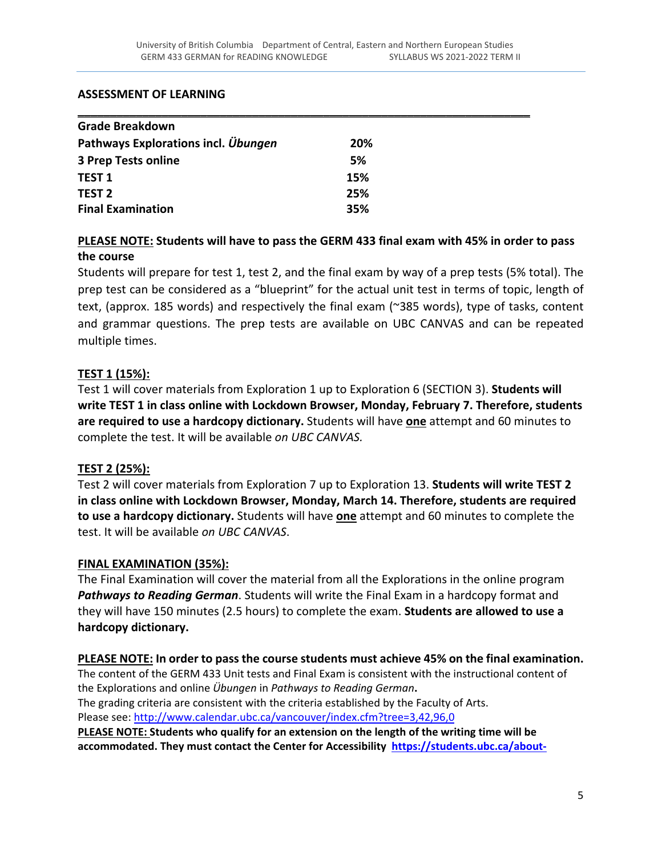#### **ASSESSMENT OF LEARNING**

| <b>Grade Breakdown</b>              |            |  |
|-------------------------------------|------------|--|
| Pathways Explorations incl. Übungen | <b>20%</b> |  |
| <b>3 Prep Tests online</b>          | 5%         |  |
| <b>TEST 1</b>                       | 15%        |  |
| <b>TEST 2</b>                       | 25%        |  |
| <b>Final Examination</b>            | 35%        |  |

# **PLEASE NOTE: Students will have to pass the GERM 433 final exam with 45% in order to pass the course**

Students will prepare for test 1, test 2, and the final exam by way of a prep tests (5% total). The prep test can be considered as a "blueprint" for the actual unit test in terms of topic, length of text, (approx. 185 words) and respectively the final exam (~385 words), type of tasks, content and grammar questions. The prep tests are available on UBC CANVAS and can be repeated multiple times.

# **TEST 1 (15%):**

Test 1 will cover materials from Exploration 1 up to Exploration 6 (SECTION 3). **Students will write TEST 1 in class online with Lockdown Browser, Monday, February 7. Therefore, students are required to use a hardcopy dictionary.** Students will have **one** attempt and 60 minutes to complete the test. It will be available *on UBC CANVAS.*

### **TEST 2 (25%):**

Test 2 will cover materials from Exploration 7 up to Exploration 13. **Students will write TEST 2 in class online with Lockdown Browser, Monday, March 14. Therefore, students are required to use a hardcopy dictionary.** Students will have **one** attempt and 60 minutes to complete the test. It will be available *on UBC CANVAS*.

### **FINAL EXAMINATION (35%):**

The Final Examination will cover the material from all the Explorations in the online program *Pathways to Reading German*. Students will write the Final Exam in a hardcopy format and they will have 150 minutes (2.5 hours) to complete the exam. **Students are allowed to use a hardcopy dictionary.**

#### **PLEASE NOTE: In order to pass the course students must achieve 45% on the final examination.**

The content of the GERM 433 Unit tests and Final Exam is consistent with the instructional content of the Explorations and online *Übungen* in *Pathways to Reading German***.**  The grading criteria are consistent with the criteria established by the Faculty of Arts.

Please see: http://www.calendar.ubc.ca/vancouver/index.cfm?tree=3,42,96,0

**PLEASE NOTE: Students who qualify for an extension on the length of the writing time will be accommodated. They must contact the Center for Accessibility https://students.ubc.ca/about‐**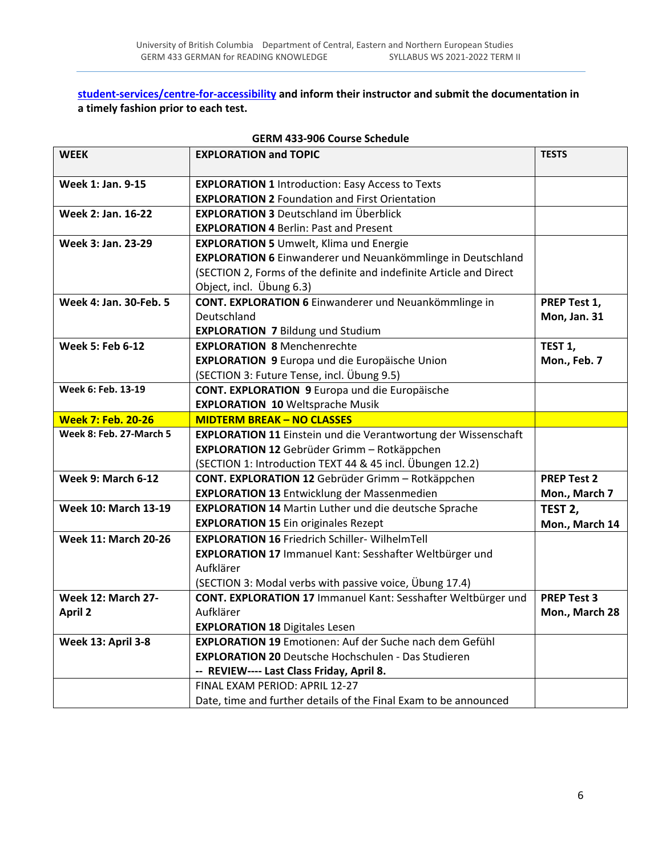**student‐services/centre‐for‐accessibility and inform their instructor and submit the documentation in a timely fashion prior to each test.**

| <b>WEEK</b>                 | <b>EXPLORATION and TOPIC</b>                                          | <b>TESTS</b>        |
|-----------------------------|-----------------------------------------------------------------------|---------------------|
| Week 1: Jan. 9-15           | <b>EXPLORATION 1 Introduction: Easy Access to Texts</b>               |                     |
|                             | <b>EXPLORATION 2 Foundation and First Orientation</b>                 |                     |
| Week 2: Jan. 16-22          | <b>EXPLORATION 3 Deutschland im Überblick</b>                         |                     |
|                             | <b>EXPLORATION 4 Berlin: Past and Present</b>                         |                     |
| Week 3: Jan. 23-29          | <b>EXPLORATION 5 Umwelt, Klima und Energie</b>                        |                     |
|                             | EXPLORATION 6 Einwanderer und Neuankömmlinge in Deutschland           |                     |
|                             | (SECTION 2, Forms of the definite and indefinite Article and Direct   |                     |
|                             | Object, incl. Übung 6.3)                                              |                     |
| Week 4: Jan. 30-Feb. 5      | CONT. EXPLORATION 6 Einwanderer und Neuankömmlinge in                 | PREP Test 1,        |
|                             | Deutschland                                                           | Mon, Jan. 31        |
|                             | <b>EXPLORATION 7 Bildung und Studium</b>                              |                     |
| <b>Week 5: Feb 6-12</b>     | <b>EXPLORATION 8 Menchenrechte</b>                                    | TEST <sub>1</sub> , |
|                             | <b>EXPLORATION 9 Europa und die Europäische Union</b>                 | Mon., Feb. 7        |
|                             | (SECTION 3: Future Tense, incl. Übung 9.5)                            |                     |
| Week 6: Feb. 13-19          | CONT. EXPLORATION 9 Europa und die Europäische                        |                     |
|                             | <b>EXPLORATION 10 Weltsprache Musik</b>                               |                     |
| <b>Week 7: Feb. 20-26</b>   | <b>MIDTERM BREAK - NO CLASSES</b>                                     |                     |
| Week 8: Feb. 27-March 5     | <b>EXPLORATION 11 Einstein und die Verantwortung der Wissenschaft</b> |                     |
|                             | EXPLORATION 12 Gebrüder Grimm - Rotkäppchen                           |                     |
|                             | (SECTION 1: Introduction TEXT 44 & 45 incl. Übungen 12.2)             |                     |
| <b>Week 9: March 6-12</b>   | CONT. EXPLORATION 12 Gebrüder Grimm - Rotkäppchen                     | <b>PREP Test 2</b>  |
|                             | <b>EXPLORATION 13 Entwicklung der Massenmedien</b>                    | Mon., March 7       |
| <b>Week 10: March 13-19</b> | <b>EXPLORATION 14 Martin Luther und die deutsche Sprache</b>          | TEST <sub>2</sub> , |
|                             | <b>EXPLORATION 15 Ein originales Rezept</b>                           | Mon., March 14      |
| <b>Week 11: March 20-26</b> | <b>EXPLORATION 16 Friedrich Schiller- WilhelmTell</b>                 |                     |
|                             | EXPLORATION 17 Immanuel Kant: Sesshafter Weltbürger und               |                     |
|                             | Aufklärer                                                             |                     |
|                             | (SECTION 3: Modal verbs with passive voice, Übung 17.4)               |                     |
| <b>Week 12: March 27-</b>   | CONT. EXPLORATION 17 Immanuel Kant: Sesshafter Weltbürger und         | <b>PREP Test 3</b>  |
| <b>April 2</b>              | Aufklärer                                                             | Mon., March 28      |
|                             | <b>EXPLORATION 18 Digitales Lesen</b>                                 |                     |
| <b>Week 13: April 3-8</b>   | <b>EXPLORATION 19 Emotionen: Auf der Suche nach dem Gefühl</b>        |                     |
|                             | <b>EXPLORATION 20 Deutsche Hochschulen - Das Studieren</b>            |                     |
|                             | -- REVIEW---- Last Class Friday, April 8.                             |                     |
|                             | FINAL EXAM PERIOD: APRIL 12-27                                        |                     |
|                             | Date, time and further details of the Final Exam to be announced      |                     |

# **GERM 433‐906 Course Schedule**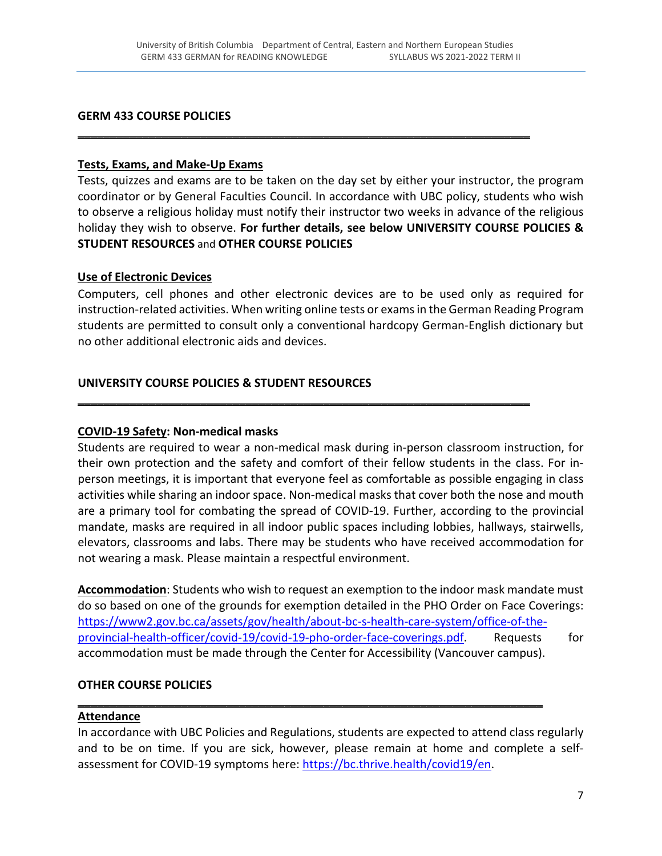\_\_\_\_\_\_\_\_\_\_\_\_\_\_\_\_\_\_\_\_\_\_\_\_\_\_\_\_\_\_\_\_\_\_\_\_\_\_\_\_\_\_\_\_\_\_\_\_\_\_\_\_\_\_\_\_\_\_\_\_\_\_\_\_\_\_\_\_\_\_

#### **GERM 433 COURSE POLICIES**

#### **Tests, Exams, and Make‐Up Exams**

Tests, quizzes and exams are to be taken on the day set by either your instructor, the program coordinator or by General Faculties Council. In accordance with UBC policy, students who wish to observe a religious holiday must notify their instructor two weeks in advance of the religious holiday they wish to observe. **For further details, see below UNIVERSITY COURSE POLICIES & STUDENT RESOURCES** and **OTHER COURSE POLICIES**

#### **Use of Electronic Devices**

Computers, cell phones and other electronic devices are to be used only as required for instruction-related activities. When writing online tests or exams in the German Reading Program students are permitted to consult only a conventional hardcopy German‐English dictionary but no other additional electronic aids and devices.

\_\_\_\_\_\_\_\_\_\_\_\_\_\_\_\_\_\_\_\_\_\_\_\_\_\_\_\_\_\_\_\_\_\_\_\_\_\_\_\_\_\_\_\_\_\_\_\_\_\_\_\_\_\_\_\_\_\_\_\_\_\_\_\_\_\_\_\_\_\_

### **UNIVERSITY COURSE POLICIES & STUDENT RESOURCES**

### **COVID‐19 Safety: Non‐medical masks**

Students are required to wear a non‐medical mask during in‐person classroom instruction, for their own protection and the safety and comfort of their fellow students in the class. For in‐ person meetings, it is important that everyone feel as comfortable as possible engaging in class activities while sharing an indoor space. Non‐medical masks that cover both the nose and mouth are a primary tool for combating the spread of COVID‐19. Further, according to the provincial mandate, masks are required in all indoor public spaces including lobbies, hallways, stairwells, elevators, classrooms and labs. There may be students who have received accommodation for not wearing a mask. Please maintain a respectful environment.

**Accommodation**: Students who wish to request an exemption to the indoor mask mandate must do so based on one of the grounds for exemption detailed in the PHO Order on Face Coverings: https://www2.gov.bc.ca/assets/gov/health/about-bc-s-health-care-system/office-of-theprovincial-health-officer/covid-19/covid-19-pho-order-face-coverings.pdf. Requests for accommodation must be made through the Center for Accessibility (Vancouver campus).

#### **OTHER COURSE POLICIES**

#### **Attendance**

In accordance with UBC Policies and Regulations, students are expected to attend class regularly and to be on time. If you are sick, however, please remain at home and complete a self‐ assessment for COVID-19 symptoms here: https://bc.thrive.health/covid19/en.

\_\_\_\_\_\_\_\_\_\_\_\_\_\_\_\_\_\_\_\_\_\_\_\_\_\_\_\_\_\_\_\_\_\_\_\_\_\_\_\_\_\_\_\_\_\_\_\_\_\_\_\_\_\_\_\_\_\_\_\_\_\_\_\_\_\_\_\_\_\_\_\_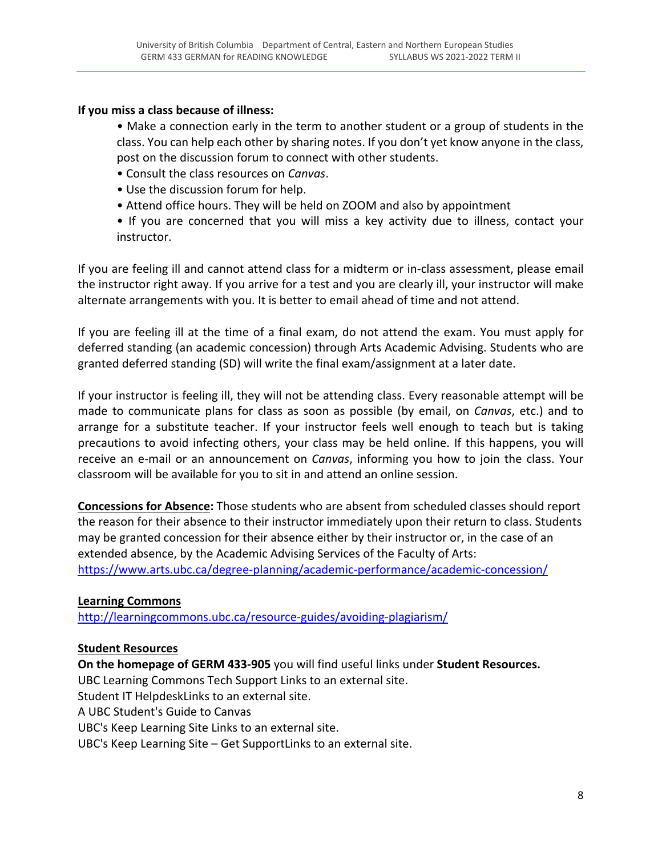### **If you miss a class because of illness:**

• Make a connection early in the term to another student or a group of students in the class. You can help each other by sharing notes. If you don't yet know anyone in the class, post on the discussion forum to connect with other students.

- Consult the class resources on *Canvas*.
- Use the discussion forum for help.
- Attend office hours. They will be held on ZOOM and also by appointment

• If you are concerned that you will miss a key activity due to illness, contact your instructor.

If you are feeling ill and cannot attend class for a midterm or in‐class assessment, please email the instructor right away. If you arrive for a test and you are clearly ill, your instructor will make alternate arrangements with you. It is better to email ahead of time and not attend.

If you are feeling ill at the time of a final exam, do not attend the exam. You must apply for deferred standing (an academic concession) through Arts Academic Advising. Students who are granted deferred standing (SD) will write the final exam/assignment at a later date.

If your instructor is feeling ill, they will not be attending class. Every reasonable attempt will be made to communicate plans for class as soon as possible (by email, on *Canvas*, etc.) and to arrange for a substitute teacher. If your instructor feels well enough to teach but is taking precautions to avoid infecting others, your class may be held online. If this happens, you will receive an e‐mail or an announcement on *Canvas*, informing you how to join the class. Your classroom will be available for you to sit in and attend an online session.

**Concessions for Absence:** Those students who are absent from scheduled classes should report the reason for their absence to their instructor immediately upon their return to class. Students may be granted concession for their absence either by their instructor or, in the case of an extended absence, by the Academic Advising Services of the Faculty of Arts: https://www.arts.ubc.ca/degree-planning/academic-performance/academic-concession/

### **Learning Commons**

http://learningcommons.ubc.ca/resource‐guides/avoiding‐plagiarism/

### **Student Resources**

**On the homepage of GERM 433‐905** you will find useful links under **Student Resources.** 

UBC Learning Commons Tech Support Links to an external site.

Student IT HelpdeskLinks to an external site.

A UBC Student's Guide to Canvas

UBC's Keep Learning Site Links to an external site.

UBC's Keep Learning Site – Get SupportLinks to an external site.